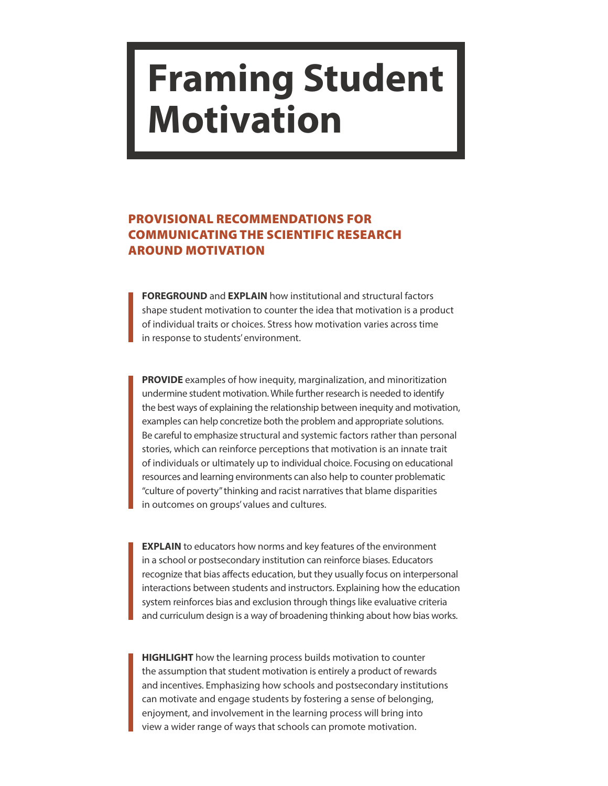## **Framing Student Motivation**

## PROVISIONAL RECOMMENDATIONS FOR COMMUNICATING THE SCIENTIFIC RESEARCH AROUND MOTIVATION

**FOREGROUND** and **EXPLAIN** how institutional and structural factors shape student motivation to counter the idea that motivation is a product of individual traits or choices. Stress how motivation varies across time in response to students' environment.

**PROVIDE** examples of how inequity, marginalization, and minoritization undermine student motivation. While further research is needed to identify the best ways of explaining the relationship between inequity and motivation, examples can help concretize both the problem and appropriate solutions. Be careful to emphasize structural and systemic factors rather than personal stories, which can reinforce perceptions that motivation is an innate trait of individuals or ultimately up to individual choice. Focusing on educational resources and learning environments can also help to counter problematic "culture of poverty" thinking and racist narratives that blame disparities in outcomes on groups' values and cultures.

**EXPLAIN** to educators how norms and key features of the environment in a school or postsecondary institution can reinforce biases. Educators recognize that bias affects education, but they usually focus on interpersonal interactions between students and instructors. Explaining how the education system reinforces bias and exclusion through things like evaluative criteria and curriculum design is a way of broadening thinking about how bias works.

**HIGHLIGHT** how the learning process builds motivation to counter the assumption that student motivation is entirely a product of rewards and incentives. Emphasizing how schools and postsecondary institutions can motivate and engage students by fostering a sense of belonging, enjoyment, and involvement in the learning process will bring into view a wider range of ways that schools can promote motivation.